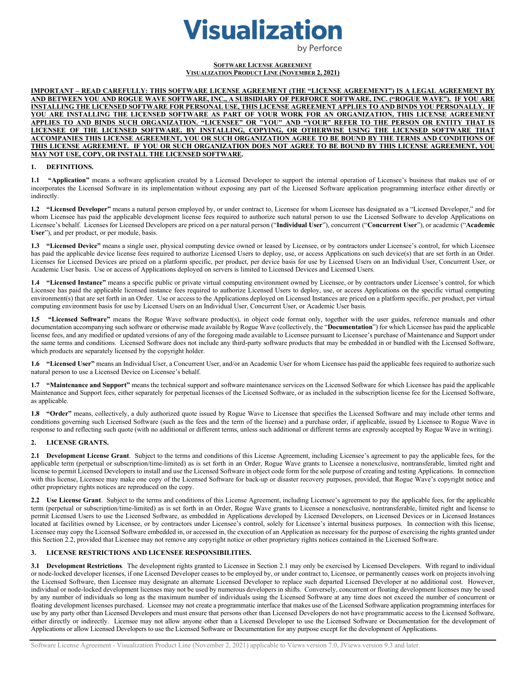# **Visualization**

by Perforce

#### **SOFTWARE LICENSE AGREEMENT VISUALIZATION PRODUCT LINE (NOVEMBER 2, 2021)**

**IMPORTANT – READ CAREFULLY: THIS SOFTWARE LICENSE AGREEMENT (THE "LICENSE AGREEMENT") IS A LEGAL AGREEMENT BY AND BETWEEN YOU AND ROGUE WAVE SOFTWARE, INC., A SUBSIDIARY OF PERFORCE SOFTWARE, INC. ("ROGUE WAVE"). IF YOU ARE INSTALLING THE LICENSED SOFTWARE FOR PERSONAL USE, THIS LICENSE AGREEMENT APPLIES TO AND BINDS YOU PERSONALLY. IF YOU ARE INSTALLING THE LICENSED SOFTWARE AS PART OF YOUR WORK FOR AN ORGANIZATION, THIS LICENSE AGREEMENT APPLIES TO AND BINDS SUCH ORGANIZATION. "LICENSEE" OR "YOU" AND "YOUR" REFER TO THE PERSON OR ENTITY THAT IS LICENSEE OF THE LICENSED SOFTWARE. BY INSTALLING, COPYING, OR OTHERWISE USING THE LICENSED SOFTWARE THAT ACCOMPANIES THIS LICENSE AGREEMENT, YOU OR SUCH ORGANIZATION AGREE TO BE BOUND BY THE TERMS AND CONDITIONS OF THIS LICENSE AGREEMENT. IF YOU OR SUCH ORGANIZATION DOES NOT AGREE TO BE BOUND BY THIS LICENSE AGREEMENT, YOU MAY NOT USE, COPY, OR INSTALL THE LICENSED SOFTWARE.**

#### **1. DEFINITIONS.**

**1.1 "Application"** means a software application created by a Licensed Developer to support the internal operation of Licensee's business that makes use of or incorporates the Licensed Software in its implementation without exposing any part of the Licensed Software application programming interface either directly or indirectly.

**1.2 "Licensed Developer"** means a natural person employed by, or under contract to, Licensee for whom Licensee has designated as a "Licensed Developer," and for whom Licensee has paid the applicable development license fees required to authorize such natural person to use the Licensed Software to develop Applications on Licensee's behalf. Licenses for Licensed Developers are priced on a per natural person ("**Individual User**"), concurrent ("**Concurrent User**"), or academic ("**Academic User**"), and per product, or per module, basis.

**1.3 "Licensed Device"** means a single user, physical computing device owned or leased by Licensee, or by contractors under Licensee's control, for which Licensee has paid the applicable device license fees required to authorize Licensed Users to deploy, use, or access Applications on such device(s) that are set forth in an Order. Licenses for Licensed Devices are priced on a platform specific, per product, per device basis for use by Licensed Users on an Individual User, Concurrent User, or Academic User basis. Use or access of Applications deployed on servers is limited to Licensed Devices and Licensed Users.

**1.4 "Licensed Instance"** means a specific public or private virtual computing environment owned by Licensee, or by contractors under Licensee's control, for which Licensee has paid the applicable licensed instance fees required to authorize Licensed Users to deploy, use, or access Applications on the specific virtual computing environment(s) that are set forth in an Order. Use or access to the Applications deployed on Licensed Instances are priced on a platform specific, per product, per virtual computing environment basis for use by Licensed Users on an Individual User, Concurrent User, or Academic User basis.

**1.5 "Licensed Software"** means the Rogue Wave software product(s), in object code format only, together with the user guides, reference manuals and other documentation accompanying such software or otherwise made available by Rogue Wave (collectively, the "**Documentation**") for which Licensee has paid the applicable license fees, and any modified or updated versions of any of the foregoing made available to Licensee pursuant to Licensee's purchase of Maintenance and Support under the same terms and conditions. Licensed Software does not include any third-party software products that may be embedded in or bundled with the Licensed Software, which products are separately licensed by the copyright holder.

**1.6 "Licensed User"** means an Individual User, a Concurrent User, and/or an Academic User for whom Licensee has paid the applicable fees required to authorize such natural person to use a Licensed Device on Licensee's behalf.

**1.7 "Maintenance and Support"** means the technical support and software maintenance services on the Licensed Software for which Licensee has paid the applicable Maintenance and Support fees, either separately for perpetual licenses of the Licensed Software, or as included in the subscription license fee for the Licensed Software, as applicable.

**1.8 "Order"** means, collectively, a duly authorized quote issued by Rogue Wave to Licensee that specifies the Licensed Software and may include other terms and conditions governing such Licensed Software (such as the fees and the term of the license) and a purchase order, if applicable, issued by Licensee to Rogue Wave in response to and reflecting such quote (with no additional or different terms, unless such additional or different terms are expressly accepted by Rogue Wave in writing).

## **2. LICENSE GRANTS.**

**2.1 Development License Grant**. Subject to the terms and conditions of this License Agreement, including Licensee's agreement to pay the applicable fees, for the applicable term (perpetual or subscription/time-limited) as is set forth in an Order, Rogue Wave grants to Licensee a nonexclusive, nontransferable, limited right and license to permit Licensed Developers to install and use the Licensed Software in object code form for the sole purpose of creating and testing Applications. In connection with this license, Licensee may make one copy of the Licensed Software for back-up or disaster recovery purposes, provided, that Rogue Wave's copyright notice and other proprietary rights notices are reproduced on the copy.

**2.2 Use License Grant**. Subject to the terms and conditions of this License Agreement, including Licensee's agreement to pay the applicable fees, for the applicable term (perpetual or subscription/time-limited) as is set forth in an Order, Rogue Wave grants to Licensee a nonexclusive, nontransferable, limited right and license to permit Licensed Users to use the Licensed Software, as embedded in Applications developed by Licensed Developers, on Licensed Devices or in Licensed Instances located at facilities owned by Licensee, or by contractors under Licensee's control, solely for Licensee's internal business purposes. In connection with this license, Licensee may copy the Licensed Software embedded in, or accessed in, the execution of an Application as necessary for the purpose of exercising the rights granted under this Section 2.2, provided that Licensee may not remove any copyright notice or other proprietary rights notices contained in the Licensed Software.

## **3. LICENSE RESTRICTIONS AND LICENSEE RESPONSIBILITIES.**

**3.1 Development Restrictions**.The development rights granted to Licensee in Section 2.1 may only be exercised by Licensed Developers. With regard to individual or node-locked developer licenses, if one Licensed Developer ceases to be employed by, or under contract to, Licensee, or permanently ceases work on projects involving the Licensed Software, then Licensee may designate an alternate Licensed Developer to replace such departed Licensed Developer at no additional cost. However, individual or node-locked development licenses may not be used by numerous developers in shifts. Conversely, concurrent or floating development licenses may be used by any number of individuals so long as the maximum number of individuals using the Licensed Software at any time does not exceed the number of concurrent or floating development licenses purchased. Licensee may not create a programmatic interface that makes use of the Licensed Software application programming interfaces for use by any party other than Licensed Developers and must ensure that persons other than Licensed Developers do not have programmatic access to the Licensed Software, either directly or indirectly. Licensee may not allow anyone other than a Licensed Developer to use the Licensed Software or Documentation for the development of Applications or allow Licensed Developers to use the Licensed Software or Documentation for any purpose except for the development of Applications.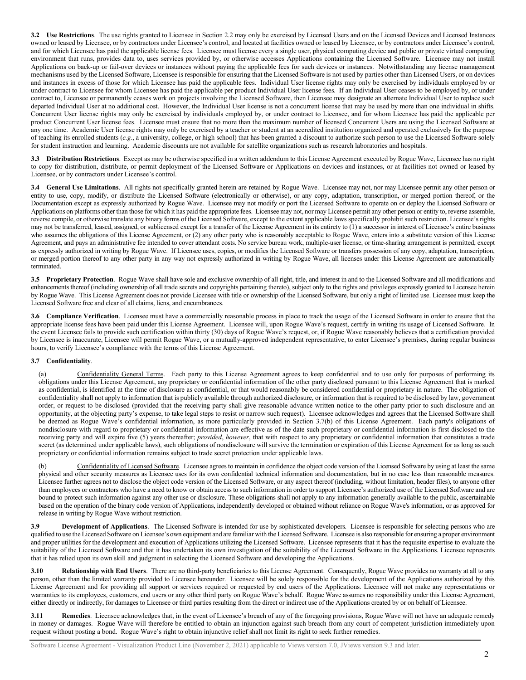**3.2 Use Restrictions**. The use rights granted to Licensee in Section 2.2 may only be exercised by Licensed Users and on the Licensed Devices and Licensed Instances owned or leased by Licensee, or by contractors under Licensee's control, and located at facilities owned or leased by Licensee, or by contractors under Licensee's control, and for which Licensee has paid the applicable license fees. Licensee must license every a single user, physical computing device and public or private virtual computing environment that runs, provides data to, uses services provided by, or otherwise accesses Applications containing the Licensed Software. Licensee may not install Applications on back-up or fail-over devices or instances without paying the applicable fees for such devices or instances. Notwithstanding any license management mechanisms used by the Licensed Software, Licensee is responsible for ensuring that the Licensed Software is not used by parties other than Licensed Users, or on devices and instances in excess of those for which Licensee has paid the applicable fees. Individual User license rights may only be exercised by individuals employed by or under contract to Licensee for whom Licensee has paid the applicable per product Individual User license fees. If an Individual User ceases to be employed by, or under contract to, Licensee or permanently ceases work on projects involving the Licensed Software, then Licensee may designate an alternate Individual User to replace such departed Individual User at no additional cost. However, the Individual User license is not a concurrent license that may be used by more than one individual in shifts. Concurrent User license rights may only be exercised by individuals employed by, or under contract to Licensee, and for whom Licensee has paid the applicable per product Concurrent User license fees. Licensee must ensure that no more than the maximum number of licensed Concurrent Users are using the Licensed Software at any one time. Academic User license rights may only be exercised by a teacher or student at an accredited institution organized and operated exclusively for the purpose of teaching its enrolled students (*e.g.*, a university, college, or high school) that has been granted a discount to authorize such person to use the Licensed Software solely for student instruction and learning. Academic discounts are not available for satellite organizations such as research laboratories and hospitals.

**3.3 Distribution Restrictions**. Except as may be otherwise specified in a written addendum to this License Agreement executed by Rogue Wave, Licensee has no right to copy for distribution, distribute, or permit deployment of the Licensed Software or Applications on devices and instances, or at facilities not owned or leased by Licensee, or by contractors under Licensee's control.

**3.4 General Use Limitations**. All rights not specifically granted herein are retained by Rogue Wave. Licensee may not, nor may Licensee permit any other person or entity to use, copy, modify, or distribute the Licensed Software (electronically or otherwise), or any copy, adaptation, transcription, or merged portion thereof, or the Documentation except as expressly authorized by Rogue Wave. Licensee may not modify or port the Licensed Software to operate on or deploy the Licensed Software or Applications on platforms other than those for which it has paid the appropriate fees. Licensee may not, nor may Licensee permit any other person or entity to, reverse assemble, reverse compile, or otherwise translate any binary forms of the Licensed Software, except to the extent applicable laws specifically prohibit such restriction. Licensee's rights may not be transferred, leased, assigned, or sublicensed except for a transfer of the License Agreement in its entirety to (1) a successor in interest of Licensee's entire business who assumes the obligations of this License Agreement, or (2) any other party who is reasonably acceptable to Rogue Wave, enters into a substitute version of this License Agreement, and pays an administrative fee intended to cover attendant costs. No service bureau work, multiple-user license, or time-sharing arrangement is permitted, except as expressly authorized in writing by Rogue Wave. If Licensee uses, copies, or modifies the Licensed Software or transfers possession of any copy, adaptation, transcription, or merged portion thereof to any other party in any way not expressly authorized in writing by Rogue Wave, all licenses under this License Agreement are automatically terminated.

**3.5 Proprietary Protection**.Rogue Wave shall have sole and exclusive ownership of all right, title, and interest in and to the Licensed Software and all modifications and enhancements thereof (including ownership of all trade secrets and copyrights pertaining thereto), subject only to the rights and privileges expressly granted to Licensee herein by Rogue Wave. This License Agreement does not provide Licensee with title or ownership of the Licensed Software, but only a right of limited use. Licensee must keep the Licensed Software free and clear of all claims, liens, and encumbrances.

**3.6 Compliance Verification**. Licensee must have a commercially reasonable process in place to track the usage of the Licensed Software in order to ensure that the appropriate license fees have been paid under this License Agreement. Licensee will, upon Rogue Wave's request, certify in writing its usage of Licensed Software. In the event Licensee fails to provide such certification within thirty (30) days of Rogue Wave's request, or, if Rogue Wave reasonably believes that a certification provided by Licensee is inaccurate, Licensee will permit Rogue Wave, or a mutually-approved independent representative, to enter Licensee's premises, during regular business hours, to verify Licensee's compliance with the terms of this License Agreement.

## **3.7 Confidentiality**.

(a) Confidentiality General Terms. Each party to this License Agreement agrees to keep confidential and to use only for purposes of performing its obligations under this License Agreement, any proprietary or confidential information of the other party disclosed pursuant to this License Agreement that is marked as confidential, is identified at the time of disclosure as confidential, or that would reasonably be considered confidential or proprietary in nature. The obligation of confidentiality shall not apply to information that is publicly available through authorized disclosure, or information that is required to be disclosed by law, government order, or request to be disclosed (provided that the receiving party shall give reasonable advance written notice to the other party prior to such disclosure and an opportunity, at the objecting party's expense, to take legal steps to resist or narrow such request). Licensee acknowledges and agrees that the Licensed Software shall be deemed as Rogue Wave's confidential information, as more particularly provided in Section 3.7(b) of this License Agreement. Each party's obligations of nondisclosure with regard to proprietary or confidential information are effective as of the date such proprietary or confidential information is first disclosed to the receiving party and will expire five (5) years thereafter; *provided*, *however*, that with respect to any proprietary or confidential information that constitutes a trade secret (as determined under applicable laws), such obligations of nondisclosure will survive the termination or expiration of this License Agreement for as long as such proprietary or confidential information remains subject to trade secret protection under applicable laws.

Confidentiality of Licensed Software. Licensee agrees to maintain in confidence the object code version of the Licensed Software by using at least the same physical and other security measures as Licensee uses for its own confidential technical information and documentation, but in no case less than reasonable measures. Licensee further agrees not to disclose the object code version of the Licensed Software, or any aspect thereof (including, without limitation, header files), to anyone other than employees or contractors who have a need to know or obtain access to such information in order to support Licensee's authorized use of the Licensed Software and are bound to protect such information against any other use or disclosure. These obligations shall not apply to any information generally available to the public, ascertainable based on the operation of the binary code version of Applications, independently developed or obtained without reliance on Rogue Wave's information, or as approved for release in writing by Rogue Wave without restriction.

**3.9 Development of Applications**. The Licensed Software is intended for use by sophisticated developers. Licensee is responsible for selecting persons who are qualified to use the Licensed Software on Licensee's own equipment and are familiar with the Licensed Software. Licensee is also responsible for ensuring a proper environment and proper utilities for the development and execution of Applications utilizing the Licensed Software. Licensee represents that it has the requisite expertise to evaluate the suitability of the Licensed Software and that it has undertaken its own investigation of the suitability of the Licensed Software in the Applications. Licensee represents that it has relied upon its own skill and judgment in selecting the Licensed Software and developing the Applications.

**3.10 Relationship with End Users**. There are no third-party beneficiaries to this License Agreement. Consequently, Rogue Wave provides no warranty at all to any person, other than the limited warranty provided to Licensee hereunder. Licensee will be solely responsible for the development of the Applications authorized by this License Agreement and for providing all support or services required or requested by end users of the Applications. Licensee will not make any representations or warranties to its employees, customers, end users or any other third party on Rogue Wave's behalf. Rogue Wave assumes no responsibility under this License Agreement, either directly or indirectly, for damages to Licensee or third parties resulting from the direct or indirect use of the Applications created by or on behalf of Licensee.

**3.11 Remedies**. Licensee acknowledges that, in the event of Licensee's breach of any of the foregoing provisions, Rogue Wave will not have an adequate remedy in money or damages. Rogue Wave will therefore be entitled to obtain an injunction against such breach from any court of competent jurisdiction immediately upon request without posting a bond. Rogue Wave's right to obtain injunctive relief shall not limit its right to seek further remedies.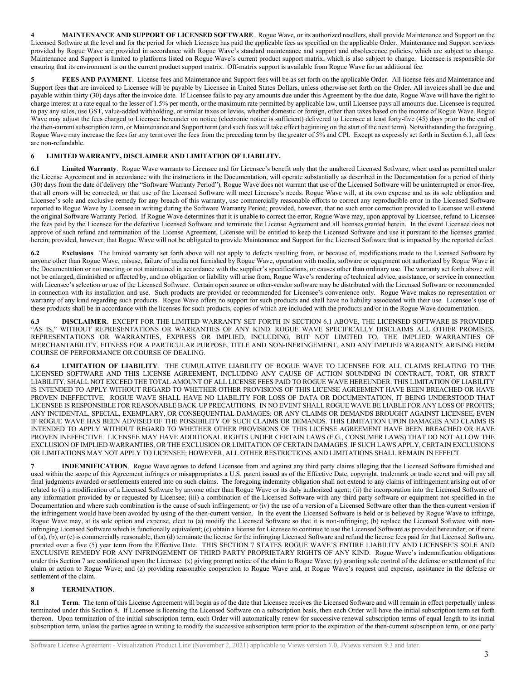**4 MAINTENANCE AND SUPPORT OF LICENSED SOFTWARE**. Rogue Wave, or its authorized resellers, shall provide Maintenance and Support on the Licensed Software at the level and for the period for which Licensee has paid the applicable fees as specified on the applicable Order. Maintenance and Support services provided by Rogue Wave are provided in accordance with Rogue Wave's standard maintenance and support and obsolescence policies, which are subject to change. Maintenance and Support is limited to platforms listed on Rogue Wave's current product support matrix, which is also subject to change. Licensee is responsible for ensuring that its environment is on the current product support matrix. Off-matrix support is available from Rogue Wave for an additional fee.

**5 FEES AND PAYMENT**. License fees and Maintenance and Support fees will be as set forth on the applicable Order. All license fees and Maintenance and Support fees that are invoiced to Licensee will be payable by Licensee in United States Dollars, unless otherwise set forth on the Order. All invoices shall be due and payable within thirty (30) days after the invoice date. If Licensee fails to pay any amounts due under this Agreement by the due date, Rogue Wave will have the right to charge interest at a rate equal to the lesser of 1.5% per month, or the maximum rate permitted by applicable law, until Licensee pays all amounts due. Licensee is required to pay any sales, use GST, value-added withholding, or similar taxes or levies, whether domestic or foreign, other than taxes based on the income of Rogue Wave. Rogue Wave may adjust the fees charged to Licensee hereunder on notice (electronic notice is sufficient) delivered to Licensee at least forty-five (45) days prior to the end of the then-current subscription term, or Maintenance and Support term (and such fees will take effect beginning on the start of the next term). Notwithstanding the foregoing, Rogue Wave may increase the fees for any term over the fees from the preceding term by the greater of 5% and CPI. Except as expressly set forth in Section 6.1, all fees are non-refundable.

# **6 LIMITED WARRANTY, DISCLAIMER AND LIMITATION OF LIABILITY.**

**6.1 Limited Warranty**. Rogue Wave warrants to Licensee and for Licensee's benefit only that the unaltered Licensed Software, when used as permitted under the License Agreement and in accordance with the instructions in the Documentation, will operate substantially as described in the Documentation for a period of thirty (30) days from the date of delivery (the "Software Warranty Period"). Rogue Wave does not warrant that use of the Licensed Software will be uninterrupted or error-free, that all errors will be corrected, or that use of the Licensed Software will meet Licensee's needs. Rogue Wave will, at its own expense and as its sole obligation and Licensee's sole and exclusive remedy for any breach of this warranty, use commercially reasonable efforts to correct any reproducible error in the Licensed Software reported to Rogue Wave by Licensee in writing during the Software Warranty Period; provided, however, that no such error correction provided to Licensee will extend the original Software Warranty Period. If Rogue Wave determines that it is unable to correct the error, Rogue Wave may, upon approval by Licensee, refund to Licensee the fees paid by the Licensee for the defective Licensed Software and terminate the License Agreement and all licenses granted herein. In the event Licensee does not approve of such refund and termination of the License Agreement, Licensee will be entitled to keep the Licensed Software and use it pursuant to the licenses granted herein; provided, however, that Rogue Wave will not be obligated to provide Maintenance and Support for the Licensed Software that is impacted by the reported defect.

**6.2 Exclusions**. The limited warranty set forth above will not apply to defects resulting from, or because of, modifications made to the Licensed Software by anyone other than Rogue Wave, misuse, failure of media not furnished by Rogue Wave, operation with media, software or equipment not authorized by Rogue Wave in the Documentation or not meeting or not maintained in accordance with the supplier's specifications, or causes other than ordinary use. The warranty set forth above will not be enlarged, diminished or affected by, and no obligation or liability will arise from, Rogue Wave's rendering of technical advice, assistance, or service in connection with Licensee's selection or use of the Licensed Software. Certain open source or other-vendor software may be distributed with the Licensed Software or recommended in connection with its installation and use. Such products are provided or recommended for Licensee's convenience only. Rogue Wave makes no representation or warranty of any kind regarding such products. Rogue Wave offers no support for such products and shall have no liability associated with their use. Licensee's use of these products shall be in accordance with the licenses for such products, copies of which are included with the products and/or in the Rogue Wave documentation.

**6.3 DISCLAIMER**. EXCEPT FOR THE LIMITED WARRANTY SET FORTH IN SECTION 6.1 ABOVE, THE LICENSED SOFTWARE IS PROVIDED "AS IS," WITHOUT REPRESENTATIONS OR WARRANTIES OF ANY KIND. ROGUE WAVE SPECIFICALLY DISCLAIMS ALL OTHER PROMISES, REPRESENTATIONS OR WARRANTIES, EXPRESS OR IMPLIED, INCLUDING, BUT NOT LIMITED TO, THE IMPLIED WARRANTIES OF MERCHANTABILITY, FITNESS FOR A PARTICULAR PURPOSE, TITLE AND NON-INFRINGEMENT, AND ANY IMPLIED WARRANTY ARISING FROM COURSE OF PERFORMANCE OR COURSE OF DEALING.

**6.4 LIMITATION OF LIABILITY**. THE CUMULATIVE LIABILITY OF ROGUE WAVE TO LICENSEE FOR ALL CLAIMS RELATING TO THE LICENSED SOFTWARE AND THIS LICENSE AGREEMENT, INCLUDING ANY CAUSE OF ACTION SOUNDING IN CONTRACT, TORT, OR STRICT LIABILITY, SHALL NOT EXCEED THE TOTAL AMOUNT OF ALL LICENSE FEES PAID TO ROGUE WAVE HEREUNDER. THIS LIMITATION OF LIABILITY IS INTENDED TO APPLY WITHOUT REGARD TO WHETHER OTHER PROVISIONS OF THIS LICENSE AGREEMENT HAVE BEEN BREACHED OR HAVE PROVEN INEFFECTIVE. ROGUE WAVE SHALL HAVE NO LIABILITY FOR LOSS OF DATA OR DOCUMENTATION, IT BEING UNDERSTOOD THAT LICENSEE IS RESPONSIBLE FOR REASONABLE BACK-UP PRECAUTIONS. IN NO EVENT SHALL ROGUE WAVE BE LIABLE FOR ANY LOSS OF PROFITS; ANY INCIDENTAL, SPECIAL, EXEMPLARY, OR CONSEQUENTIAL DAMAGES; OR ANY CLAIMS OR DEMANDS BROUGHT AGAINST LICENSEE, EVEN IF ROGUE WAVE HAS BEEN ADVISED OF THE POSSIBILITY OF SUCH CLAIMS OR DEMANDS. THIS LIMITATION UPON DAMAGES AND CLAIMS IS INTENDED TO APPLY WITHOUT REGARD TO WHETHER OTHER PROVISIONS OF THIS LICENSE AGREEMENT HAVE BEEN BREACHED OR HAVE PROVEN INEFFECTIVE. LICENSEE MAY HAVE ADDITIONAL RIGHTS UNDER CERTAIN LAWS (E.G., CONSUMER LAWS) THAT DO NOT ALLOW THE EXCLUSION OF IMPLIED WARRANTIES, OR THE EXCLUSION OR LIMITATION OF CERTAIN DAMAGES. IF SUCH LAWS APPLY, CERTAIN EXCLUSIONS OR LIMITATIONS MAY NOT APPLY TO LICENSEE; HOWEVER, ALL OTHER RESTRICTIONS AND LIMITATIONS SHALL REMAIN IN EFFECT.

**7 INDEMNIFICATION**. Rogue Wave agrees to defend Licensee from and against any third party claims alleging that the Licensed Software furnished and used within the scope of this Agreement infringes or misappropriates a U.S. patent issued as of the Effective Date, copyright, trademark or trade secret and will pay all final judgments awarded or settlements entered into on such claims. The foregoing indemnity obligation shall not extend to any claims of infringement arising out of or related to (i) a modification of a Licensed Software by anyone other than Rogue Wave or its duly authorized agent; (ii) the incorporation into the Licensed Software of any information provided by or requested by Licensee; (iii) a combination of the Licensed Software with any third party software or equipment not specified in the Documentation and where such combination is the cause of such infringement; or (iv) the use of a version of a Licensed Software other than the then-current version if the infringement would have been avoided by using of the then-current version. In the event the Licensed Software is held or is believed by Rogue Wave to infringe, Rogue Wave may, at its sole option and expense, elect to (a) modify the Licensed Software so that it is non-infringing; (b) replace the Licensed Software with noninfringing Licensed Software which is functionally equivalent; (c) obtain a license for Licensee to continue to use the Licensed Software as provided hereunder; or if none of (a), (b), or (c) is commercially reasonable, then (d) terminate the license for the infringing Licensed Software and refund the license fees paid for that Licensed Software, prorated over a five (5) year term from the Effective Date. THIS SECTION 7 STATES ROGUE WAVE'S ENTIRE LIABILITY AND LICENSEE'S SOLE AND EXCLUSIVE REMEDY FOR ANY INFRINGEMENT OF THIRD PARTY PROPRIETARY RIGHTS OF ANY KIND. Rogue Wave's indemnification obligations under this Section 7 are conditioned upon the Licensee: (x) giving prompt notice of the claim to Rogue Wave; (y) granting sole control of the defense or settlement of the claim or action to Rogue Wave; and (z) providing reasonable cooperation to Rogue Wave and, at Rogue Wave's request and expense, assistance in the defense or settlement of the claim.

## **8 TERMINATION**.

8.1 **Term**. The term of this License Agreement will begin as of the date that Licensee receives the Licensed Software and will remain in effect perpetually unless terminated under this Section 8. If Licensee is licensing the Licensed Software on a subscription basis, then each Order will have the initial subscription term set forth thereon. Upon termination of the initial subscription term, each Order will automatically renew for successive renewal subscription terms of equal length to its initial subscription term, unless the parties agree in writing to modify the successive subscription term prior to the expiration of the then-current subscription term, or one party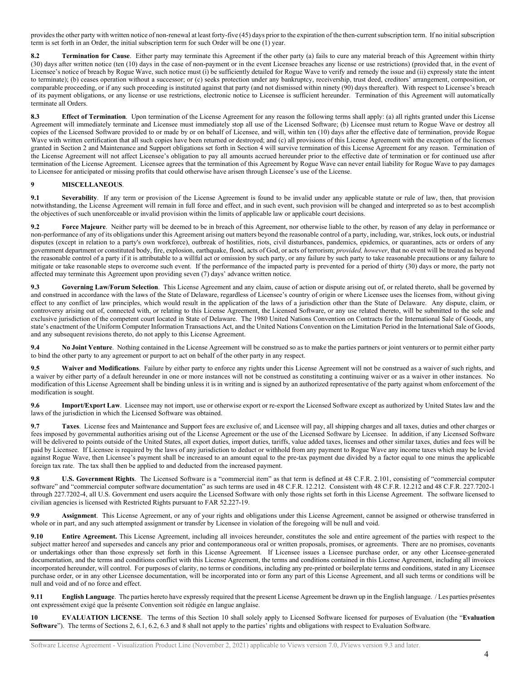provides the other party with written notice of non-renewal at least forty-five (45) days prior to the expiration of the then-current subscription term. If no initial subscription term is set forth in an Order, the initial subscription term for such Order will be one (1) year.

**8.2 Termination for Cause**. Either party may terminate this Agreement if the other party (a) fails to cure any material breach of this Agreement within thirty (30) days after written notice (ten (10) days in the case of non-payment or in the event Licensee breaches any license or use restrictions) (provided that, in the event of Licensee's notice of breach by Rogue Wave, such notice must (i) be sufficiently detailed for Rogue Wave to verify and remedy the issue and (ii) expressly state the intent to terminate); (b) ceases operation without a successor; or (c) seeks protection under any bankruptcy, receivership, trust deed, creditors' arrangement, composition, or comparable proceeding, or if any such proceeding is instituted against that party (and not dismissed within ninety (90) days thereafter). With respect to Licensee's breach of its payment obligations, or any license or use restrictions, electronic notice to Licensee is sufficient hereunder. Termination of this Agreement will automatically terminate all Orders.

**8.3 Effect of Termination**. Upon termination of the License Agreement for any reason the following terms shall apply: (a) all rights granted under this License Agreement will immediately terminate and Licensee must immediately stop all use of the Licensed Software; (b) Licensee must return to Rogue Wave or destroy all copies of the Licensed Software provided to or made by or on behalf of Licensee, and will, within ten (10) days after the effective date of termination, provide Rogue Wave with written certification that all such copies have been returned or destroyed; and (c) all provisions of this License Agreement with the exception of the licenses granted in Section 2 and Maintenance and Support obligations set forth in Section 4 will survive termination of this License Agreement for any reason. Termination of the License Agreement will not affect Licensee's obligation to pay all amounts accrued hereunder prior to the effective date of termination or for continued use after termination of the License Agreement. Licensee agrees that the termination of this Agreement by Rogue Wave can never entail liability for Rogue Wave to pay damages to Licensee for anticipated or missing profits that could otherwise have arisen through Licensee's use of the License.

## **9 MISCELLANEOUS**.

**9.1 Severability**. If any term or provision of the License Agreement is found to be invalid under any applicable statute or rule of law, then, that provision notwithstanding, the License Agreement will remain in full force and effect, and in such event, such provision will be changed and interpreted so as to best accomplish the objectives of such unenforceable or invalid provision within the limits of applicable law or applicable court decisions.

**9.2 Force Majeure**. Neither party will be deemed to be in breach of this Agreement, nor otherwise liable to the other, by reason of any delay in performance or non-performance of any of its obligations under this Agreement arising out matters beyond the reasonable control of a party, including, war, strikes, lock outs, or industrial disputes (except in relation to a party's own workforce), outbreak of hostilities, riots, civil disturbances, pandemics, epidemics, or quarantines, acts or orders of any government department or constituted body, fire, explosion, earthquake, flood, acts of God, or acts of terrorism; *provided, however*, that no event will be treated as beyond the reasonable control of a party if it is attributable to a willful act or omission by such party, or any failure by such party to take reasonable precautions or any failure to mitigate or take reasonable steps to overcome such event. If the performance of the impacted party is prevented for a period of thirty (30) days or more, the party not affected may terminate this Agreement upon providing seven (7) days' advance written notice.

**9.3 Governing Law/Forum Selection**. This License Agreement and any claim, cause of action or dispute arising out of, or related thereto, shall be governed by and construed in accordance with the laws of the State of Delaware, regardless of Licensee's country of origin or where Licensee uses the licenses from, without giving effect to any conflict of law principles, which would result in the application of the laws of a jurisdiction other than the State of Delaware. Any dispute, claim, or controversy arising out of, connected with, or relating to this License Agreement, the Licensed Software, or any use related thereto, will be submitted to the sole and exclusive jurisdiction of the competent court located in State of Delaware. The 1980 United Nations Convention on Contracts for the International Sale of Goods, any state's enactment of the Uniform Computer Information Transactions Act, and the United Nations Convention on the Limitation Period in the International Sale of Goods, and any subsequent revisions thereto, do not apply to this License Agreement.

**9.4 No Joint Venture**. Nothing contained in the License Agreement will be construed so as to make the parties partners or joint venturers or to permit either party to bind the other party to any agreement or purport to act on behalf of the other party in any respect.

**9.5 Waiver and Modifications**. Failure by either party to enforce any rights under this License Agreement will not be construed as a waiver of such rights, and a waiver by either party of a default hereunder in one or more instances will not be construed as constituting a continuing waiver or as a waiver in other instances. No modification of this License Agreement shall be binding unless it is in writing and is signed by an authorized representative of the party against whom enforcement of the modification is sought.

**9.6 Import/Export Law**. Licensee may not import, use or otherwise export or re-export the Licensed Software except as authorized by United States law and the laws of the jurisdiction in which the Licensed Software was obtained.

**9.7 Taxes**. License fees and Maintenance and Support fees are exclusive of, and Licensee will pay, all shipping charges and all taxes, duties and other charges or fees imposed by governmental authorities arising out of the License Agreement or the use of the Licensed Software by Licensee. In addition, if any Licensed Software will be delivered to points outside of the United States, all export duties, import duties, tariffs, value added taxes, licenses and other similar taxes, duties and fees will be paid by Licensee. If Licensee is required by the laws of any jurisdiction to deduct or withhold from any payment to Rogue Wave any income taxes which may be levied against Rogue Wave, then Licensee's payment shall be increased to an amount equal to the pre-tax payment due divided by a factor equal to one minus the applicable foreign tax rate. The tax shall then be applied to and deducted from the increased payment.

**9.8 U.S. Government Rights**. The Licensed Software is a "commercial item" as that term is defined at 48 C.F.R. 2.101, consisting of "commercial computer software" and "commercial computer software documentation" as such terms are used in 48 C.F.R. 12.212. Consistent with 48 C.F.R. 12.212 and 48 C.F.R. 227.7202-1 through 227.7202-4, all U.S. Government end users acquire the Licensed Software with only those rights set forth in this License Agreement. The software licensed to civilian agencies is licensed with Restricted Rights pursuant to FAR 52.227-19.

**9.9 Assignment**. This License Agreement, or any of your rights and obligations under this License Agreement, cannot be assigned or otherwise transferred in whole or in part, and any such attempted assignment or transfer by Licensee in violation of the foregoing will be null and void.

**9.10 Entire Agreement.** This License Agreement, including all invoices hereunder, constitutes the sole and entire agreement of the parties with respect to the subject matter hereof and supersedes and cancels any prior and contemporaneous oral or written proposals, promises, or agreements. There are no promises, covenants or undertakings other than those expressly set forth in this License Agreement. If Licensee issues a Licensee purchase order, or any other Licensee-generated documentation, and the terms and conditions conflict with this License Agreement, the terms and conditions contained in this License Agreement, including all invoices incorporated hereunder, will control. For purposes of clarity, no terms or conditions, including any pre-printed or boilerplate terms and conditions, stated in any Licensee purchase order, or in any other Licensee documentation, will be incorporated into or form any part of this License Agreement, and all such terms or conditions will be null and void and of no force and effect.

**9.11 English Language**. The parties hereto have expressly required that the present License Agreement be drawn up in the English language. / Les parties présentes ont expressément exigé que la présente Convention soit rédigée en langue anglaise.

**10 EVALUATION LICENSE**. The terms of this Section 10 shall solely apply to Licensed Software licensed for purposes of Evaluation (the "**Evaluation Software**"). The terms of Sections 2, 6.1, 6.2, 6.3 and 8 shall not apply to the parties' rights and obligations with respect to Evaluation Software.